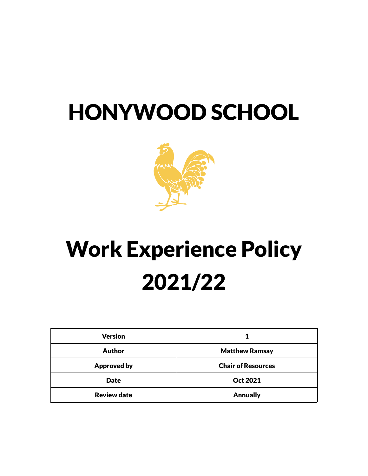# HONYWOOD SCHOOL



# Work Experience Policy 2021/22

| <b>Version</b>     |                           |
|--------------------|---------------------------|
| <b>Author</b>      | <b>Matthew Ramsay</b>     |
| <b>Approved by</b> | <b>Chair of Resources</b> |
| <b>Date</b>        | <b>Oct 2021</b>           |
| <b>Review date</b> | <b>Annually</b>           |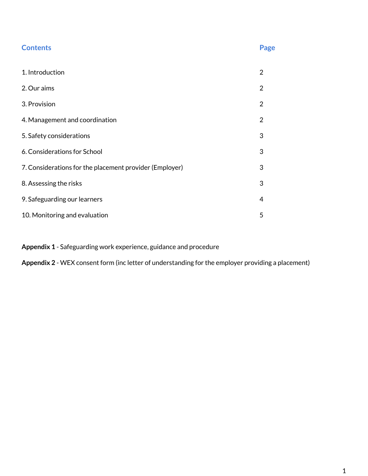| <b>Contents</b>                                         | Page           |
|---------------------------------------------------------|----------------|
| 1. Introduction                                         | $\overline{2}$ |
| 2. Our aims                                             | $\overline{2}$ |
| 3. Provision                                            | $\overline{2}$ |
| 4. Management and coordination                          | $\overline{2}$ |
| 5. Safety considerations                                | 3              |
| 6. Considerations for School                            | 3              |
| 7. Considerations for the placement provider (Employer) | 3              |
| 8. Assessing the risks                                  | 3              |
| 9. Safeguarding our learners                            | 4              |
| 10. Monitoring and evaluation                           | 5              |

**Appendix 1** - Safeguarding work experience, guidance and procedure

**Appendix 2** - WEX consent form (inc letter of understanding for the employer providing a placement)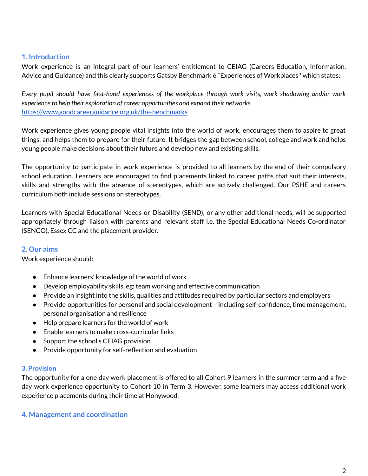#### **1. Introduction**

Work experience is an integral part of our learners' entitlement to CEIAG (Careers Education, Information, Advice and Guidance) and this clearly supports Gatsby Benchmark 6 "Experiences of Workplaces'' which states:

*Every pupil should have first-hand experiences of the workplace through work visits, work shadowing and/or work experience to help their exploration of career opportunities and expand their networks.* <https://www.goodcareerguidance.org.uk/the-benchmarks>

Work experience gives young people vital insights into the world of work, encourages them to aspire to great things, and helps them to prepare for their future. It bridges the gap between school, college and work and helps young people make decisions about their future and develop new and existing skills.

The opportunity to participate in work experience is provided to all learners by the end of their compulsory school education. Learners are encouraged to find placements linked to career paths that suit their interests, skills and strengths with the absence of stereotypes, which are actively challenged. Our PSHE and careers curriculum both include sessions on stereotypes.

Learners with Special Educational Needs or Disability (SEND), or any other additional needs, will be supported appropriately through liaison with parents and relevant staff i.e. the Special Educational Needs Co-ordinator (SENCO), Essex CC and the placement provider.

#### **2. Our aims**

Work experience should:

- Enhance learners' knowledge of the world of work
- Develop employability skills, eg: team working and effective communication
- Provide an insight into the skills, qualities and attitudes required by particular sectors and employers
- Provide opportunities for personal and social development including self-confidence, time management, personal organisation and resilience
- Help prepare learners for the world of work
- Enable learners to make cross-curricular links
- Support the school's CEIAG provision
- Provide opportunity for self-reflection and evaluation

#### **3. Provision**

The opportunity for a one day work placement is offered to all Cohort 9 learners in the summer term and a five day work experience opportunity to Cohort 10 in Term 3. However, some learners may access additional work experience placements during their time at Honywood.

#### **4. Management and coordination**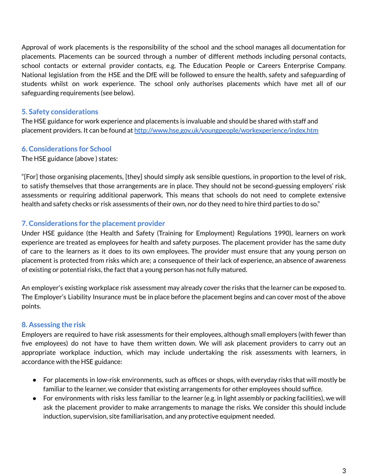Approval of work placements is the responsibility of the school and the school manages all documentation for placements. Placements can be sourced through a number of different methods including personal contacts, school contacts or external provider contacts, e.g. The Education People or Careers Enterprise Company. National legislation from the HSE and the DfE will be followed to ensure the health, safety and safeguarding of students whilst on work experience. The school only authorises placements which have met all of our safeguarding requirements (see below).

#### **5. Safety considerations**

The HSE guidance for work experience and placements is invaluable and should be shared with staff and placement providers. It can be found at <http://www.hse.gov.uk/youngpeople/workexperience/index.htm>

#### **6. Considerations for School**

The HSE guidance (above ) states:

"[For] those organising placements, [they] should simply ask sensible questions, in proportion to the level of risk, to satisfy themselves that those arrangements are in place. They should not be second-guessing employers' risk assessments or requiring additional paperwork. This means that schools do not need to complete extensive health and safety checks or risk assessments of their own, nor do they need to hire third parties to do so."

#### **7. Considerations for the placement provider**

Under HSE guidance (the Health and Safety (Training for Employment) Regulations 1990), learners on work experience are treated as employees for health and safety purposes. The placement provider has the same duty of care to the learners as it does to its own employees. The provider must ensure that any young person on placement is protected from risks which are; a consequence of their lack of experience, an absence of awareness of existing or potential risks, the fact that a young person has not fully matured.

An employer's existing workplace risk assessment may already cover the risks that the learner can be exposed to. The Employer's Liability Insurance must be in place before the placement begins and can cover most of the above points.

#### **8. Assessing the risk**

Employers are required to have risk assessments for their employees, although small employers (with fewer than five employees) do not have to have them written down. We will ask placement providers to carry out an appropriate workplace induction, which may include undertaking the risk assessments with learners, in accordance with the HSE guidance:

- For placements in low-risk environments, such as offices or shops, with everyday risks that will mostly be familiar to the learner, we consider that existing arrangements for other employees should suffice.
- For environments with risks less familiar to the learner (e.g. in light assembly or packing facilities), we will ask the placement provider to make arrangements to manage the risks. We consider this should include induction, supervision, site familiarisation, and any protective equipment needed.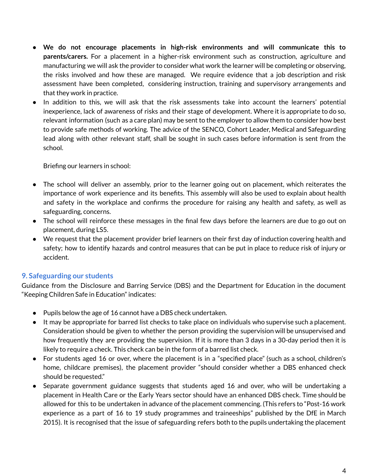- **We do not encourage placements in high-risk environments and will communicate this to parents/carers.** For a placement in a higher-risk environment such as construction, agriculture and manufacturing we will ask the provider to consider what work the learner will be completing or observing, the risks involved and how these are managed. We require evidence that a job description and risk assessment have been completed, considering instruction, training and supervisory arrangements and that they work in practice.
- In addition to this, we will ask that the risk assessments take into account the learners' potential inexperience, lack of awareness of risks and their stage of development. Where it is appropriate to do so, relevant information (such as a care plan) may be sent to the employer to allow them to consider how best to provide safe methods of working. The advice of the SENCO, Cohort Leader, Medical and Safeguarding lead along with other relevant staff, shall be sought in such cases before information is sent from the school.

Briefing our learners in school:

- The school will deliver an assembly, prior to the learner going out on placement, which reiterates the importance of work experience and its benefits. This assembly will also be used to explain about health and safety in the workplace and confirms the procedure for raising any health and safety, as well as safeguarding, concerns.
- The school will reinforce these messages in the final few days before the learners are due to go out on placement, during LS5.
- We request that the placement provider brief learners on their first day of induction covering health and safety; how to identify hazards and control measures that can be put in place to reduce risk of injury or accident.

#### **9. Safeguarding our students**

Guidance from the Disclosure and Barring Service (DBS) and the Department for Education in the document "Keeping Children Safe in Education" indicates:

- Pupils below the age of 16 cannot have a DBS check undertaken.
- It may be appropriate for barred list checks to take place on individuals who supervise such a placement. Consideration should be given to whether the person providing the supervision will be unsupervised and how frequently they are providing the supervision. If it is more than 3 days in a 30-day period then it is likely to require a check. This check can be in the form of a barred list check.
- For students aged 16 or over, where the placement is in a "specified place" (such as a school, children's home, childcare premises), the placement provider "should consider whether a DBS enhanced check should be requested."
- Separate government guidance suggests that students aged 16 and over, who will be undertaking a placement in Health Care or the Early Years sector should have an enhanced DBS check. Time should be allowed for this to be undertaken in advance of the placement commencing. (This refers to "Post-16 work experience as a part of 16 to 19 study programmes and traineeships" published by the DfE in March 2015). It is recognised that the issue of safeguarding refers both to the pupils undertaking the placement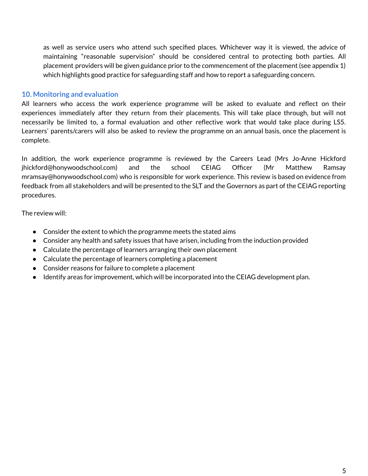as well as service users who attend such specified places. Whichever way it is viewed, the advice of maintaining "reasonable supervision" should be considered central to protecting both parties. All placement providers will be given guidance prior to the commencement of the placement (see appendix 1) which highlights good practice for safeguarding staff and how to report a safeguarding concern.

#### **10. Monitoring and evaluation**

All learners who access the work experience programme will be asked to evaluate and reflect on their experiences immediately after they return from their placements. This will take place through, but will not necessarily be limited to, a formal evaluation and other reflective work that would take place during LS5. Learners' parents/carers will also be asked to review the programme on an annual basis, once the placement is complete.

In addition, the work experience programme is reviewed by the Careers Lead (Mrs Jo-Anne Hickford jhickford@honywoodschool.com) and the school CEIAG Officer (Mr Matthew Ramsay mramsay@honywoodschool.com) who is responsible for work experience. This review is based on evidence from feedback from all stakeholders and will be presented to the SLT and the Governors as part of the CEIAG reporting procedures.

The review will:

- Consider the extent to which the programme meets the stated aims
- Consider any health and safety issues that have arisen, including from the induction provided
- Calculate the percentage of learners arranging their own placement
- Calculate the percentage of learners completing a placement
- Consider reasons for failure to complete a placement
- Identify areas for improvement, which will be incorporated into the CEIAG development plan.